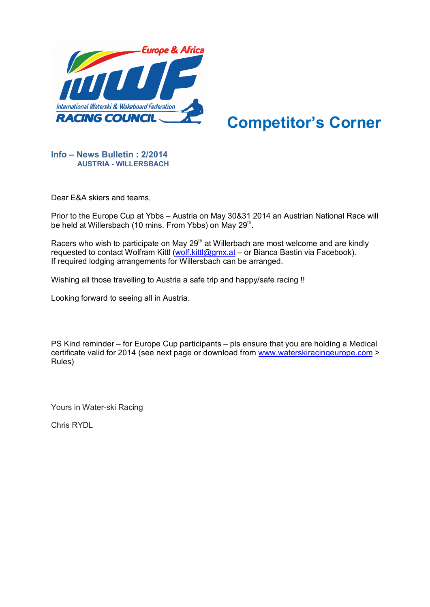

## **Competitor's Corner**

## **Info – News Bulletin : 2/2014 AUSTRIA - WILLERSBACH**

Dear E&A skiers and teams,

Prior to the Europe Cup at Ybbs – Austria on May 30&31 2014 an Austrian National Race will be held at Willersbach (10 mins. From Ybbs) on May 29<sup>th</sup>.

Racers who wish to participate on May 29<sup>th</sup> at Willerbach are most welcome and are kindly requested to contact Wolfram Kittl [\(wolf.kittl@gmx.at](mailto:wolf.kittl@gmx.at) – or Bianca Bastin via Facebook). If required lodging arrangements for Willersbach can be arranged.

Wishing all those travelling to Austria a safe trip and happy/safe racing !!

Looking forward to seeing all in Austria.

PS Kind reminder – for Europe Cup participants – pls ensure that you are holding a Medical certificate valid for 2014 (see next page or download from [www.waterskiracingeurope.com](http://www.waterskiracingeurope.com/) > Rules)

Yours in Water-ski Racing

Chris RYDL